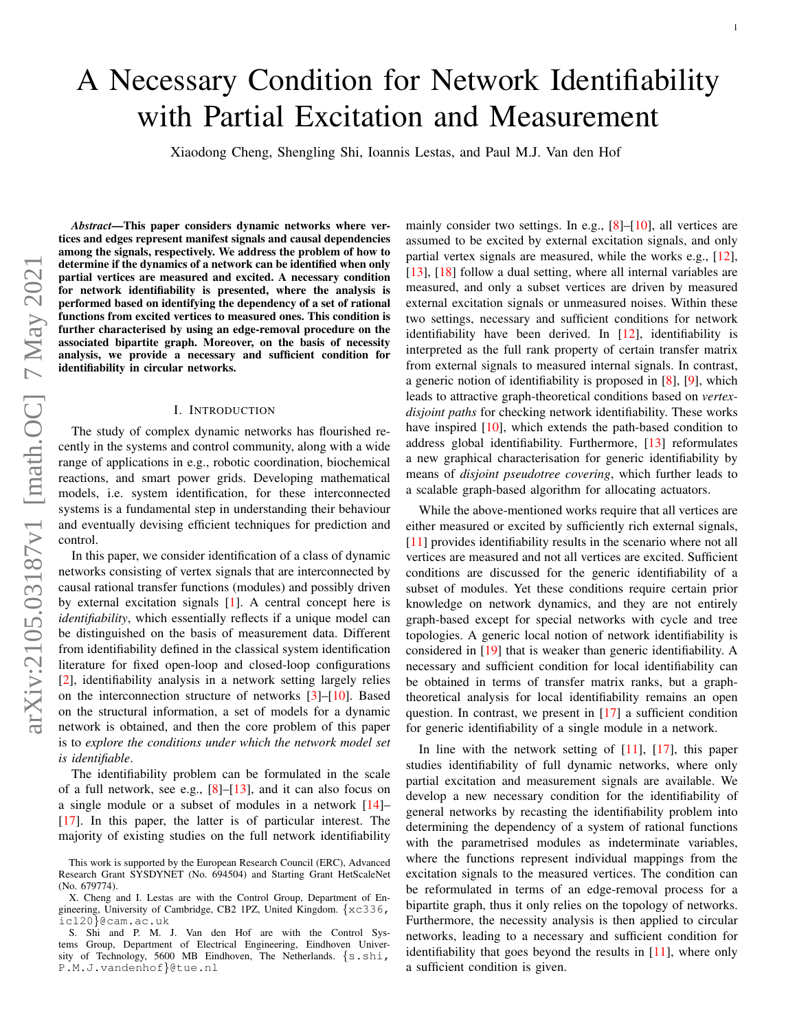# A Necessary Condition for Network Identifiability with Partial Excitation and Measurement

Xiaodong Cheng, Shengling Shi, Ioannis Lestas, and Paul M.J. Van den Hof

*Abstract*—This paper considers dynamic networks where vertices and edges represent manifest signals and causal dependencies among the signals, respectively. We address the problem of how to determine if the dynamics of a network can be identified when only partial vertices are measured and excited. A necessary condition for network identifiability is presented, where the analysis is performed based on identifying the dependency of a set of rational functions from excited vertices to measured ones. This condition is further characterised by using an edge-removal procedure on the associated bipartite graph. Moreover, on the basis of necessity analysis, we provide a necessary and sufficient condition for identifiability in circular networks.

#### I. INTRODUCTION

The study of complex dynamic networks has flourished recently in the systems and control community, along with a wide range of applications in e.g., robotic coordination, biochemical reactions, and smart power grids. Developing mathematical models, i.e. system identification, for these interconnected systems is a fundamental step in understanding their behaviour and eventually devising efficient techniques for prediction and control.

In this paper, we consider identification of a class of dynamic networks consisting of vertex signals that are interconnected by causal rational transfer functions (modules) and possibly driven by external excitation signals [\[1\]](#page-7-0). A central concept here is *identifiability*, which essentially reflects if a unique model can be distinguished on the basis of measurement data. Different from identifiability defined in the classical system identification literature for fixed open-loop and closed-loop configurations [\[2\]](#page-7-1), identifiability analysis in a network setting largely relies on the interconnection structure of networks [\[3\]](#page-7-2)–[\[10\]](#page-7-3). Based on the structural information, a set of models for a dynamic network is obtained, and then the core problem of this paper is to *explore the conditions under which the network model set is identifiable*.

The identifiability problem can be formulated in the scale of a full network, see e.g.,  $[8]$ – $[13]$ , and it can also focus on a single module or a subset of modules in a network [\[14\]](#page-7-6)– [\[17\]](#page-7-7). In this paper, the latter is of particular interest. The majority of existing studies on the full network identifiability mainly consider two settings. In e.g., [\[8\]](#page-7-4)–[\[10\]](#page-7-3), all vertices are assumed to be excited by external excitation signals, and only partial vertex signals are measured, while the works e.g., [\[12\]](#page-7-8), [\[13\]](#page-7-5), [\[18\]](#page-7-9) follow a dual setting, where all internal variables are measured, and only a subset vertices are driven by measured external excitation signals or unmeasured noises. Within these two settings, necessary and sufficient conditions for network identifiability have been derived. In [\[12\]](#page-7-8), identifiability is interpreted as the full rank property of certain transfer matrix from external signals to measured internal signals. In contrast, a generic notion of identifiability is proposed in [\[8\]](#page-7-4), [\[9\]](#page-7-10), which leads to attractive graph-theoretical conditions based on *vertexdisjoint paths* for checking network identifiability. These works have inspired [\[10\]](#page-7-3), which extends the path-based condition to address global identifiability. Furthermore, [\[13\]](#page-7-5) reformulates a new graphical characterisation for generic identifiability by means of *disjoint pseudotree covering*, which further leads to a scalable graph-based algorithm for allocating actuators.

While the above-mentioned works require that all vertices are either measured or excited by sufficiently rich external signals, [\[11\]](#page-7-11) provides identifiability results in the scenario where not all vertices are measured and not all vertices are excited. Sufficient conditions are discussed for the generic identifiability of a subset of modules. Yet these conditions require certain prior knowledge on network dynamics, and they are not entirely graph-based except for special networks with cycle and tree topologies. A generic local notion of network identifiability is considered in [\[19\]](#page-7-12) that is weaker than generic identifiability. A necessary and sufficient condition for local identifiability can be obtained in terms of transfer matrix ranks, but a graphtheoretical analysis for local identifiability remains an open question. In contrast, we present in [\[17\]](#page-7-7) a sufficient condition for generic identifiability of a single module in a network.

In line with the network setting of [\[11\]](#page-7-11), [\[17\]](#page-7-7), this paper studies identifiability of full dynamic networks, where only partial excitation and measurement signals are available. We develop a new necessary condition for the identifiability of general networks by recasting the identifiability problem into determining the dependency of a system of rational functions with the parametrised modules as indeterminate variables, where the functions represent individual mappings from the excitation signals to the measured vertices. The condition can be reformulated in terms of an edge-removal process for a bipartite graph, thus it only relies on the topology of networks. Furthermore, the necessity analysis is then applied to circular networks, leading to a necessary and sufficient condition for identifiability that goes beyond the results in [\[11\]](#page-7-11), where only a sufficient condition is given.

This work is supported by the European Research Council (ERC), Advanced Research Grant SYSDYNET (No. 694504) and Starting Grant HetScaleNet (No. 679774).

X. Cheng and I. Lestas are with the Control Group, Department of Engineering, University of Cambridge, CB2 1PZ, United Kingdom. {xc336, icl20}@cam.ac.uk

S. Shi and P. M. J. Van den Hof are with the Control Systems Group, Department of Electrical Engineering, Eindhoven University of Technology, 5600 MB Eindhoven, The Netherlands. {s.shi, P.M.J.vandenhof}@tue.nl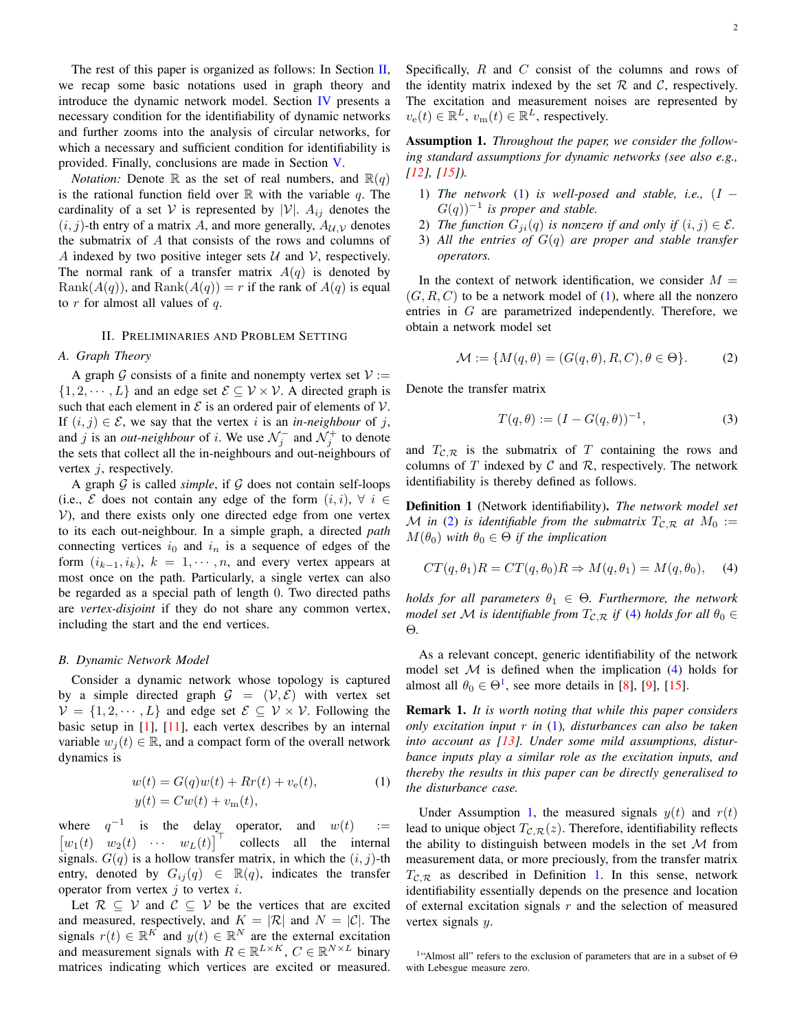The rest of this paper is organized as follows: In Section  $II$ , we recap some basic notations used in graph theory and introduce the dynamic network model. Section [IV](#page-2-0) presents a necessary condition for the identifiability of dynamic networks and further zooms into the analysis of circular networks, for which a necessary and sufficient condition for identifiability is provided. Finally, conclusions are made in Section [V.](#page-7-13)

*Notation:* Denote R as the set of real numbers, and  $\mathbb{R}(q)$ is the rational function field over  $\mathbb R$  with the variable q. The cardinality of a set V is represented by  $|V|$ .  $A_{ij}$  denotes the  $(i, j)$ -th entry of a matrix A, and more generally,  $A_{\mathcal{U}, \mathcal{V}}$  denotes the submatrix of A that consists of the rows and columns of A indexed by two positive integer sets  $U$  and  $V$ , respectively. The normal rank of a transfer matrix  $A(q)$  is denoted by  $Rank(A(q))$ , and  $Rank(A(q)) = r$  if the rank of  $A(q)$  is equal to  $r$  for almost all values of  $q$ .

# II. PRELIMINARIES AND PROBLEM SETTING

# <span id="page-1-0"></span>*A. Graph Theory*

A graph G consists of a finite and nonempty vertex set  $V :=$  $\{1, 2, \dots, L\}$  and an edge set  $\mathcal{E} \subseteq \mathcal{V} \times \mathcal{V}$ . A directed graph is such that each element in  $\mathcal E$  is an ordered pair of elements of  $\mathcal V$ . If  $(i, j) \in \mathcal{E}$ , we say that the vertex i is an *in-neighbour* of j, and j is an *out-neighbour* of i. We use  $\mathcal{N}_j^-$  and  $\mathcal{N}_j^+$  to denote the sets that collect all the in-neighbours and out-neighbours of vertex  $i$ , respectively.

A graph  $G$  is called *simple*, if  $G$  does not contain self-loops (i.e.,  $\mathcal E$  does not contain any edge of the form  $(i, i)$ ,  $\forall i \in$  $V$ ), and there exists only one directed edge from one vertex to its each out-neighbour. In a simple graph, a directed *path* connecting vertices  $i_0$  and  $i_n$  is a sequence of edges of the form  $(i_{k-1}, i_k)$ ,  $k = 1, \dots, n$ , and every vertex appears at most once on the path. Particularly, a single vertex can also be regarded as a special path of length 0. Two directed paths are *vertex-disjoint* if they do not share any common vertex, including the start and the end vertices.

# *B. Dynamic Network Model*

Consider a dynamic network whose topology is captured by a simple directed graph  $G = (\mathcal{V}, \mathcal{E})$  with vertex set  $V = \{1, 2, \dots, L\}$  and edge set  $\mathcal{E} \subseteq \mathcal{V} \times \mathcal{V}$ . Following the basic setup in [\[1\]](#page-7-0), [\[11\]](#page-7-11), each vertex describes by an internal variable  $w_i(t) \in \mathbb{R}$ , and a compact form of the overall network dynamics is

$$
w(t) = G(q)w(t) + Rr(t) + v_e(t),
$$
  
\n
$$
y(t) = Cw(t) + v_m(t),
$$
\n(1)

where  $q^{-1}$  is the delay operator, and  $w(t)$  :=  $\begin{bmatrix} w_1(t) & w_2(t) & \cdots & w_L(t) \end{bmatrix}^{\top}$ collects all the internal signals.  $G(q)$  is a hollow transfer matrix, in which the  $(i, j)$ -th entry, denoted by  $G_{ij}(q) \in \mathbb{R}(q)$ , indicates the transfer operator from vertex  $j$  to vertex  $i$ .

Let  $\mathcal{R} \subseteq \mathcal{V}$  and  $\mathcal{C} \subseteq \mathcal{V}$  be the vertices that are excited and measured, respectively, and  $K = |\mathcal{R}|$  and  $N = |\mathcal{C}|$ . The signals  $r(t) \in \mathbb{R}^K$  and  $y(t) \in \mathbb{R}^N$  are the external excitation and measurement signals with  $R \in \mathbb{R}^{L \times K}$ ,  $C \in \mathbb{R}^{N \times L}$  binary matrices indicating which vertices are excited or measured. Specifically,  $R$  and  $C$  consist of the columns and rows of the identity matrix indexed by the set  $R$  and  $C$ , respectively. The excitation and measurement noises are represented by  $v_{e}(t) \in \mathbb{R}^{L}$ ,  $v_{m}(t) \in \mathbb{R}^{L}$ , respectively.

<span id="page-1-5"></span>Assumption 1. *Throughout the paper, we consider the following standard assumptions for dynamic networks (see also e.g., [\[12\]](#page-7-8), [\[15\]](#page-7-14)).*

- 1) *The network* [\(1\)](#page-1-1) *is well-posed and stable, i.e.,* (I −  $G(q)$ <sup> $-1$ </sup> is proper and stable.
- 2) *The function*  $G_{ii}(q)$  *is nonzero if and only if*  $(i, j) \in \mathcal{E}$ *.*
- 3) *All the entries of* G(q) *are proper and stable transfer operators.*

In the context of network identification, we consider  $M =$  $(G, R, C)$  to be a network model of [\(1\)](#page-1-1), where all the nonzero entries in G are parametrized independently. Therefore, we obtain a network model set

<span id="page-1-2"></span>
$$
\mathcal{M} := \{ M(q, \theta) = (G(q, \theta), R, C), \theta \in \Theta \}.
$$
 (2)

Denote the transfer matrix

<span id="page-1-7"></span><span id="page-1-3"></span>
$$
T(q, \theta) := (I - G(q, \theta))^{-1},
$$
\n(3)

and  $T_{\mathcal{C},\mathcal{R}}$  is the submatrix of T containing the rows and columns of T indexed by C and R, respectively. The network identifiability is thereby defined as follows.

<span id="page-1-6"></span>Definition 1 (Network identifiability). *The network model set* M in [\(2\)](#page-1-2) is identifiable from the submatrix  $T_{\mathcal{C},\mathcal{R}}$  at  $M_0 :=$  $M(\theta_0)$  *with*  $\theta_0 \in \Theta$  *if the implication* 

$$
CT(q, \theta_1)R = CT(q, \theta_0)R \Rightarrow M(q, \theta_1) = M(q, \theta_0), \quad (4)
$$

*holds for all parameters*  $\theta_1 \in \Theta$ *. Furthermore, the network model set* M *is identifiable from*  $T_{\mathcal{C},\mathcal{R}}$  *if* [\(4\)](#page-1-3) *holds for all*  $\theta_0 \in$ Θ*.*

As a relevant concept, generic identifiability of the network model set  $M$  is defined when the implication [\(4\)](#page-1-3) holds for almost all  $\theta_0 \in \Theta^1$  $\theta_0 \in \Theta^1$ , see more details in [\[8\]](#page-7-4), [\[9\]](#page-7-10), [\[15\]](#page-7-14).

Remark 1. *It is worth noting that while this paper considers only excitation input* r *in* [\(1\)](#page-1-1)*, disturbances can also be taken into account as [\[13\]](#page-7-5). Under some mild assumptions, disturbance inputs play a similar role as the excitation inputs, and thereby the results in this paper can be directly generalised to the disturbance case.*

<span id="page-1-1"></span>Under Assumption [1,](#page-1-5) the measured signals  $y(t)$  and  $r(t)$ lead to unique object  $T_{\mathcal{C},\mathcal{R}}(z)$ . Therefore, identifiability reflects the ability to distinguish between models in the set  $M$  from measurement data, or more preciously, from the transfer matrix  $T_{\mathcal{C},\mathcal{R}}$  as described in Definition [1.](#page-1-6) In this sense, network identifiability essentially depends on the presence and location of external excitation signals  $r$  and the selection of measured vertex signals  $y$ .

<span id="page-1-4"></span><sup>1</sup> "Almost all" refers to the exclusion of parameters that are in a subset of Θ with Lebesgue measure zero.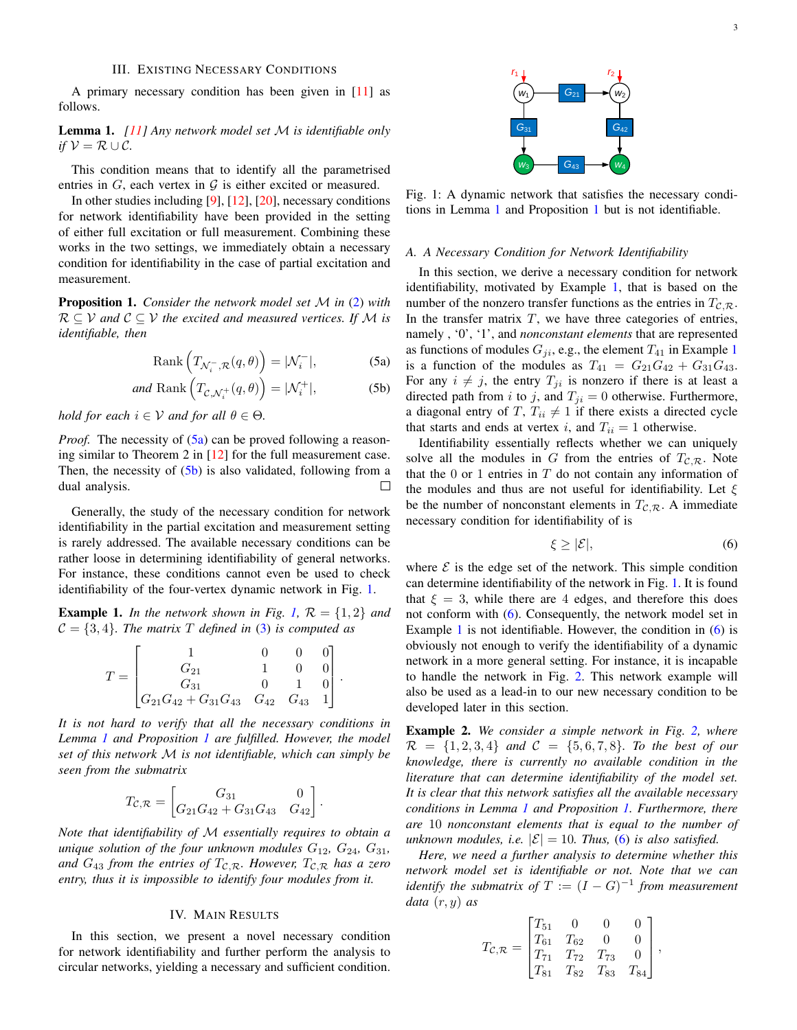A primary necessary condition has been given in [\[11\]](#page-7-11) as follows.

<span id="page-2-4"></span>Lemma 1. *[\[11\]](#page-7-11) Any network model set* M *is identifiable only if*  $V = R \cup C$ *.* 

This condition means that to identify all the parametrised entries in  $G$ , each vertex in  $G$  is either excited or measured.

In other studies including [\[9\]](#page-7-10), [\[12\]](#page-7-8), [\[20\]](#page-7-15), necessary conditions for network identifiability have been provided in the setting of either full excitation or full measurement. Combining these works in the two settings, we immediately obtain a necessary condition for identifiability in the case of partial excitation and measurement.

<span id="page-2-5"></span>Proposition 1. *Consider the network model set* M *in* [\(2\)](#page-1-2) *with*  $\mathcal{R} \subseteq \mathcal{V}$  and  $\mathcal{C} \subseteq \mathcal{V}$  the excited and measured vertices. If M is *identifiable, then*

$$
Rank\left(T_{\mathcal{N}_i^-,\mathcal{R}}(q,\theta)\right) = |\mathcal{N}_i^-|,\tag{5a}
$$

and Rank 
$$
\left(T_{\mathcal{C}, \mathcal{N}_i^+}(q, \theta)\right) = |\mathcal{N}_i^+|,
$$
 (5b)

*hold for each*  $i \in V$  *and for all*  $\theta \in \Theta$ *.* 

*Proof.* The necessity of  $(5a)$  can be proved following a reasoning similar to Theorem 2 in [\[12\]](#page-7-8) for the full measurement case. Then, the necessity of  $(5b)$  is also validated, following from a dual analysis.  $\Box$ 

Generally, the study of the necessary condition for network identifiability in the partial excitation and measurement setting is rarely addressed. The available necessary conditions can be rather loose in determining identifiability of general networks. For instance, these conditions cannot even be used to check identifiability of the four-vertex dynamic network in Fig. [1.](#page-2-3)

<span id="page-2-6"></span>**Example 1.** In the network shown in Fig. [1,](#page-2-3)  $\mathcal{R} = \{1, 2\}$  and  $C = \{3, 4\}$ *. The matrix* T *defined in* [\(3\)](#page-1-7) *is computed as* 

$$
T = \begin{bmatrix} 1 & 0 & 0 & 0 \\ G_{21} & 1 & 0 & 0 \\ G_{31} & 0 & 1 & 0 \\ G_{21}G_{42} + G_{31}G_{43} & G_{42} & G_{43} & 1 \end{bmatrix}.
$$

*It is not hard to verify that all the necessary conditions in Lemma [1](#page-2-4) and Proposition [1](#page-2-5) are fulfilled. However, the model set of this network* M *is not identifiable, which can simply be seen from the submatrix*

$$
T_{\mathcal{C},\mathcal{R}} = \begin{bmatrix} G_{31} & 0 \\ G_{21}G_{42} + G_{31}G_{43} & G_{42} \end{bmatrix}.
$$

*Note that identifiability of* M *essentially requires to obtain a unique solution of the four unknown modules*  $G_{12}$ ,  $G_{24}$ ,  $G_{31}$ , and  $G_{43}$  from the entries of  $T_{\mathcal{C},\mathcal{R}}$ . However,  $T_{\mathcal{C},\mathcal{R}}$  has a zero *entry, thus it is impossible to identify four modules from it.*

# IV. MAIN RESULTS

<span id="page-2-0"></span>In this section, we present a novel necessary condition for network identifiability and further perform the analysis to circular networks, yielding a necessary and sufficient condition.

<span id="page-2-3"></span>

Fig. 1: A dynamic network that satisfies the necessary conditions in Lemma [1](#page-2-4) and Proposition [1](#page-2-5) but is not identifiable.

#### *A. A Necessary Condition for Network Identifiability*

<span id="page-2-1"></span>In this section, we derive a necessary condition for network identifiability, motivated by Example [1,](#page-2-6) that is based on the number of the nonzero transfer functions as the entries in  $T_{\mathcal{C},\mathcal{R}}$ . In the transfer matrix  $T$ , we have three categories of entries, namely , '0', '1', and *nonconstant elements* that are represented as functions of modules  $G_{ji}$ , e.g., the element  $T_{41}$  $T_{41}$  $T_{41}$  in Example 1 is a function of the modules as  $T_{41} = G_{21}G_{42} + G_{31}G_{43}$ . For any  $i \neq j$ , the entry  $T_{ji}$  is nonzero if there is at least a directed path from i to j, and  $T_{ji} = 0$  otherwise. Furthermore, a diagonal entry of T,  $T_{ii} \neq 1$  if there exists a directed cycle that starts and ends at vertex i, and  $T_{ii} = 1$  otherwise.

<span id="page-2-2"></span>Identifiability essentially reflects whether we can uniquely solve all the modules in G from the entries of  $T_{C,R}$ . Note that the  $0$  or  $1$  entries in  $T$  do not contain any information of the modules and thus are not useful for identifiability. Let  $\xi$ be the number of nonconstant elements in  $T_{\mathcal{C},\mathcal{R}}$ . A immediate necessary condition for identifiability of is

<span id="page-2-7"></span>
$$
\xi \ge |\mathcal{E}|,\tag{6}
$$

where  $\mathcal E$  is the edge set of the network. This simple condition can determine identifiability of the network in Fig. [1.](#page-2-3) It is found that  $\xi = 3$ , while there are 4 edges, and therefore this does not conform with [\(6\)](#page-2-7). Consequently, the network model set in Example [1](#page-2-6) is not identifiable. However, the condition in  $(6)$  is obviously not enough to verify the identifiability of a dynamic network in a more general setting. For instance, it is incapable to handle the network in Fig. [2.](#page-3-0) This network example will also be used as a lead-in to our new necessary condition to be developed later in this section.

<span id="page-2-8"></span>Example 2. *We consider a simple network in Fig. [2,](#page-3-0) where*  $\mathcal{R} = \{1, 2, 3, 4\}$  *and*  $\mathcal{C} = \{5, 6, 7, 8\}$ *. To the best of our knowledge, there is currently no available condition in the literature that can determine identifiability of the model set. It is clear that this network satisfies all the available necessary conditions in Lemma [1](#page-2-4) and Proposition [1.](#page-2-5) Furthermore, there are* 10 *nonconstant elements that is equal to the number of unknown modules, i.e.*  $|\mathcal{E}| = 10$ *. Thus,* [\(6\)](#page-2-7) *is also satisfied.* 

*Here, we need a further analysis to determine whether this network model set is identifiable or not. Note that we can identify the submatrix of*  $T := (I - G)^{-1}$  *from measurement data* (r, y) *as*

$$
T_{\mathcal{C},\mathcal{R}} = \begin{bmatrix} T_{51} & 0 & 0 & 0 \\ T_{61} & T_{62} & 0 & 0 \\ T_{71} & T_{72} & T_{73} & 0 \\ T_{81} & T_{82} & T_{83} & T_{84} \end{bmatrix}
$$

,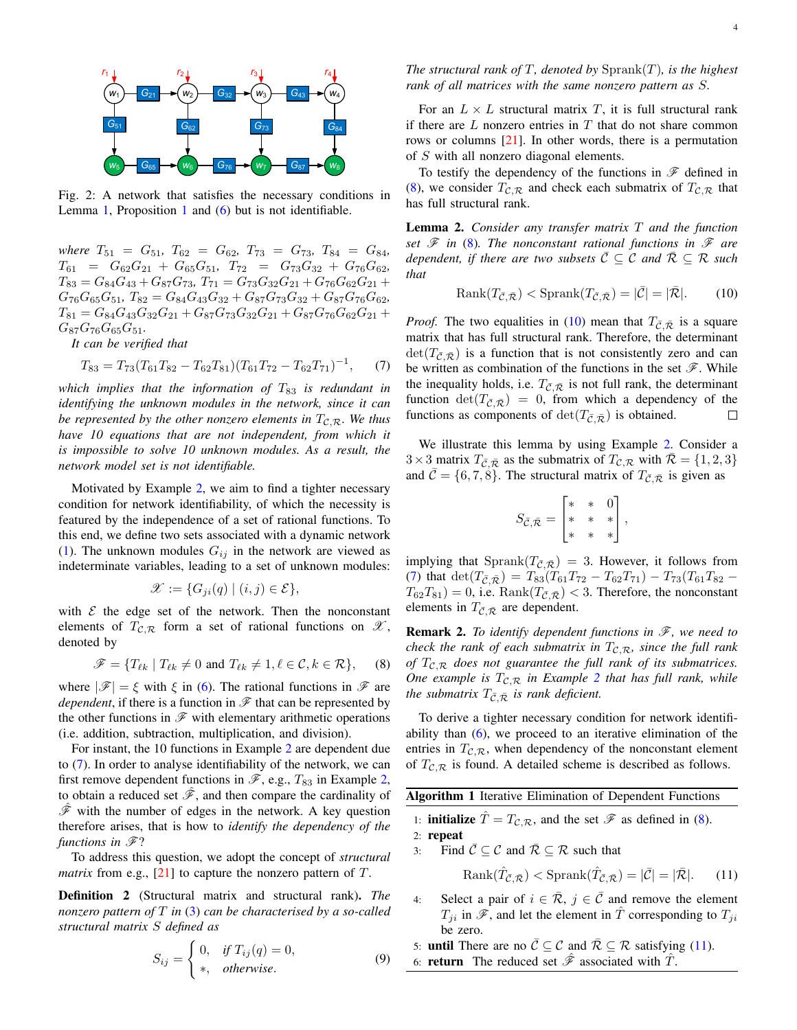<span id="page-3-0"></span>

Fig. 2: A network that satisfies the necessary conditions in Lemma [1,](#page-2-4) Proposition [1](#page-2-5) and  $(6)$  but is not identifiable.

*where*  $T_{51} = G_{51}$ ,  $T_{62} = G_{62}$ ,  $T_{73} = G_{73}$ ,  $T_{84} = G_{84}$ ,  $T_{61}$  =  $G_{62}G_{21} + G_{65}G_{51}$ ,  $T_{72}$  =  $G_{73}G_{32} + G_{76}G_{62}$ ,  $T_{83} = G_{84}G_{43} + G_{87}G_{73}$ ,  $T_{71} = G_{73}G_{32}G_{21} + G_{76}G_{62}G_{21} +$  $G_{76}G_{65}G_{51}$ ,  $T_{82} = G_{84}G_{43}G_{32} + G_{87}G_{73}G_{32} + G_{87}G_{76}G_{62}$ ,  $T_{81} = G_{84}G_{43}G_{32}G_{21} + G_{87}G_{73}G_{32}G_{21} + G_{87}G_{76}G_{62}G_{21} +$  $G_{87}G_{76}G_{65}G_{51}$ .

*It can be verified that*

$$
T_{83} = T_{73}(T_{61}T_{82} - T_{62}T_{81})(T_{61}T_{72} - T_{62}T_{71})^{-1}, \quad (7)
$$

*which implies that the information of*  $T_{83}$  *is redundant in identifying the unknown modules in the network, since it can be represented by the other nonzero elements in*  $T_{\mathcal{C},\mathcal{R}}$ *. We thus have 10 equations that are not independent, from which it is impossible to solve 10 unknown modules. As a result, the network model set is not identifiable.*

Motivated by Example [2,](#page-2-8) we aim to find a tighter necessary condition for network identifiability, of which the necessity is featured by the independence of a set of rational functions. To this end, we define two sets associated with a dynamic network [\(1\)](#page-1-1). The unknown modules  $G_{ij}$  in the network are viewed as indeterminate variables, leading to a set of unknown modules:

$$
\mathscr{X} := \{ G_{ji}(q) \mid (i,j) \in \mathcal{E} \},\
$$

with  $\mathcal E$  the edge set of the network. Then the nonconstant elements of  $T_{\mathcal{C},\mathcal{R}}$  form a set of rational functions on  $\mathcal{X},$ denoted by

<span id="page-3-2"></span>
$$
\mathscr{F} = \{ T_{\ell k} \mid T_{\ell k} \neq 0 \text{ and } T_{\ell k} \neq 1, \ell \in \mathcal{C}, k \in \mathcal{R} \}, \quad (8)
$$

where  $|\mathscr{F}| = \xi$  with  $\xi$  in [\(6\)](#page-2-7). The rational functions in  $\mathscr{F}$  are *dependent*, if there is a function in  $\mathcal F$  that can be represented by the other functions in  $\mathscr F$  with elementary arithmetic operations (i.e. addition, subtraction, multiplication, and division).

For instant, the 10 functions in Example [2](#page-2-8) are dependent due to [\(7\)](#page-3-1). In order to analyse identifiability of the network, we can first remove dependent functions in  $\mathscr{F}$ , e.g.,  $T_{83}$  in Example [2,](#page-2-8) to obtain a reduced set  $\mathscr{F}$ , and then compare the cardinality of  $\mathscr F$  with the number of edges in the network. A key question therefore arises, that is how to *identify the dependency of the functions in*  $\mathscr{F}$ ?

To address this question, we adopt the concept of *structural matrix* from e.g.,  $[21]$  to capture the nonzero pattern of  $T$ .

<span id="page-3-6"></span>Definition 2 (Structural matrix and structural rank). *The nonzero pattern of* T *in* [\(3\)](#page-1-7) *can be characterised by a so-called structural matrix* S *defined as*

$$
S_{ij} = \begin{cases} 0, & \text{if } T_{ij}(q) = 0, \\ *, & \text{otherwise.} \end{cases}
$$
 (9)

*The structural rank of*  $T$ *, denoted by*  $Sprank(T)$ *, is the highest rank of all matrices with the same nonzero pattern as* S*.*

For an  $L \times L$  structural matrix T, it is full structural rank if there are  $L$  nonzero entries in  $T$  that do not share common rows or columns [\[21\]](#page-7-16). In other words, there is a permutation of S with all nonzero diagonal elements.

To testify the dependency of the functions in  $\mathscr F$  defined in [\(8\)](#page-3-2), we consider  $T_{\mathcal{C},\mathcal{R}}$  and check each submatrix of  $T_{\mathcal{C},\mathcal{R}}$  that has full structural rank.

<span id="page-3-7"></span>Lemma 2. *Consider any transfer matrix* T *and the function set*  $\mathscr F$  *in* [\(8\)](#page-3-2)*. The nonconstant rational functions in*  $\mathscr F$  *are dependent, if there are two subsets*  $\overline{C} \subseteq C$  *and*  $\overline{R} \subseteq \mathcal{R}$  *such that*

<span id="page-3-3"></span>
$$
Rank(T_{\overline{C},\overline{R}}) < \text{Sprank}(T_{\overline{C},\overline{R}}) = |\overline{C}| = |\overline{R}|. \tag{10}
$$

<span id="page-3-1"></span>*Proof.* The two equalities in [\(10\)](#page-3-3) mean that  $T_{\bar{C},\bar{R}}$  is a square matrix that has full structural rank. Therefore, the determinant  $\det(T_{\bar{C}}\bar{R})$  is a function that is not consistently zero and can be written as combination of the functions in the set  $\mathscr F$ . While the inequality holds, i.e.  $T_{\bar{\mathcal{C}}, \bar{\mathcal{R}}}$  is not full rank, the determinant function  $\det(T_{\bar{\mathcal{C}}, \bar{\mathcal{R}}}) = 0$ , from which a dependency of the functions as components of  $\det(T_{\bar{C}}, \bar{\mathcal{R}})$  is obtained.  $\Box$ 

We illustrate this lemma by using Example [2.](#page-2-8) Consider a  $3\times3$  matrix  $T_{\bar{\mathcal{C}},\bar{\mathcal{R}}}$  as the submatrix of  $T_{\mathcal{C},\mathcal{R}}$  with  $\bar{\mathcal{R}} = \{1,2,3\}$ and  $\bar{\mathcal{C}} = \{6, 7, 8\}$ . The structural matrix of  $T_{\bar{\mathcal{C}}, \bar{\mathcal{R}}}$  is given as

$$
S_{\bar{\mathcal{C}}, \bar{\mathcal{R}}} = \begin{bmatrix} * & * & 0 \\ * & * & * \\ * & * & * \end{bmatrix},
$$

implying that  $\text{Sprank}(T_{\bar{\mathcal{C}}, \bar{\mathcal{R}}}) = 3$ . However, it follows from [\(7\)](#page-3-1) that  $\det(T_{\bar{C}, \bar{R}}) = T_{83}(T_{61}T_{72} - T_{62}T_{71}) - T_{73}(T_{61}T_{82} - T_{61}T_{61})$  $T_{62}T_{81}$ ) = 0, i.e.  $\text{Rank}(T_{\bar{\mathcal{C}},\bar{\mathcal{R}}})$  < 3. Therefore, the nonconstant elements in  $T_{\bar{C},\bar{R}}$  are dependent.

**Remark 2.** To identify dependent functions in  $\mathcal{F}$ , we need to *check the rank of each submatrix in*  $T_{\mathcal{C},\mathcal{R}}$ *, since the full rank of*  $T_{\mathcal{C},\mathcal{R}}$  *does not guarantee the full rank of its submatrices. One example is*  $T_{\mathcal{C},\mathcal{R}}$  *in Example* [2](#page-2-8) *that has full rank, while the submatrix*  $T_{\bar{C},\bar{\mathcal{R}}}$  *is rank deficient.* 

To derive a tighter necessary condition for network identifiability than  $(6)$ , we proceed to an iterative elimination of the entries in  $T_{\mathcal{C},\mathcal{R}}$ , when dependency of the nonconstant element of  $T_{\mathcal{C},\mathcal{R}}$  is found. A detailed scheme is described as follows.

Algorithm 1 Iterative Elimination of Dependent Functions

- 1: **initialize**  $\hat{T} = T_{\mathcal{C}, \mathcal{R}}$ , and the set  $\mathcal{F}$  as defined in [\(8\)](#page-3-2).
- 2: repeat
- 3: Find  $\overline{C} \subseteq C$  and  $\overline{R} \subseteq \mathcal{R}$  such that

<span id="page-3-4"></span>
$$
Rank(\hat{T}_{\bar{C},\bar{\mathcal{R}}}) < \text{Sprank}(\hat{T}_{\bar{C},\bar{\mathcal{R}}}) = |\bar{C}| = |\bar{\mathcal{R}}|.\tag{11}
$$

4: Select a pair of  $i \in \overline{\mathcal{R}}$ ,  $j \in \overline{\mathcal{C}}$  and remove the element  $T_{ji}$  in  $\mathscr{F}$ , and let the element in  $\hat{T}$  corresponding to  $T_{ji}$ be zero.

5: **until** There are no  $\overline{C} \subseteq C$  and  $\overline{R} \subseteq \mathcal{R}$  satisfying [\(11\)](#page-3-4).

<span id="page-3-5"></span>6: **return** The reduced set  $\hat{\mathcal{F}}$  associated with  $\hat{T}$ .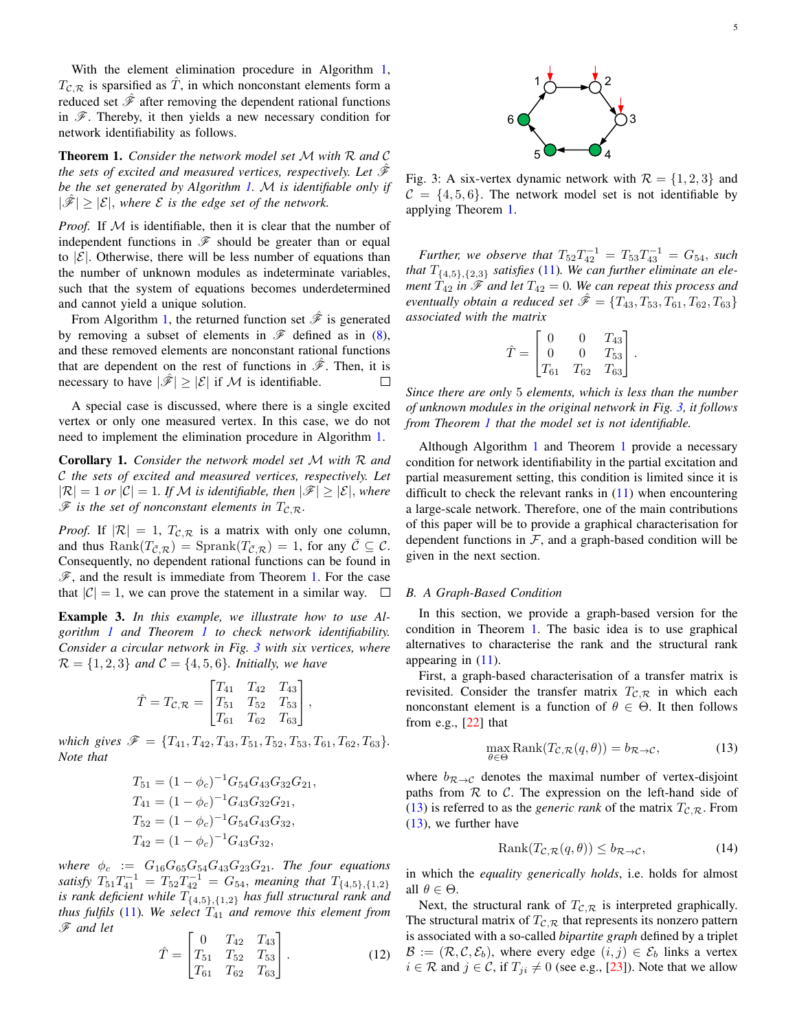With the element elimination procedure in Algorithm [1,](#page-3-5)  $T_{\mathcal{C},\mathcal{R}}$  is sparsified as  $\hat{T}$ , in which nonconstant elements form a reduced set  $\hat{\mathcal{F}}$  after removing the dependent rational functions in  $\mathscr F$ . Thereby, it then yields a new necessary condition for network identifiability as follows.

<span id="page-4-0"></span>Theorem 1. *Consider the network model set* M *with* R *and* C *the sets of excited and measured vertices, respectively. Let*  $\hat{\mathcal{F}}$ *be the set generated by Algorithm [1.](#page-3-5)* M *is identifiable only if*  $|\mathscr{F}| > |\mathcal{E}|$ , where  $\mathcal E$  is the edge set of the network.

*Proof.* If M is identifiable, then it is clear that the number of independent functions in  $\mathscr F$  should be greater than or equal to  $|\mathcal{E}|$ . Otherwise, there will be less number of equations than the number of unknown modules as indeterminate variables, such that the system of equations becomes underdetermined and cannot yield a unique solution.

From Algorithm [1,](#page-3-5) the returned function set  $\hat{\mathscr{F}}$  is generated by removing a subset of elements in  $\mathscr F$  defined as in [\(8\)](#page-3-2), and these removed elements are nonconstant rational functions that are dependent on the rest of functions in  $\hat{\mathscr{F}}$ . Then, it is necessary to have  $|\mathscr{F}| \geq |\mathcal{E}|$  if M is identifiable.  $\Box$ 

A special case is discussed, where there is a single excited vertex or only one measured vertex. In this case, we do not need to implement the elimination procedure in Algorithm [1.](#page-3-5)

<span id="page-4-4"></span>Corollary 1. *Consider the network model set* M *with* R *and* C *the sets of excited and measured vertices, respectively. Let*  $|\mathcal{R}| = 1$  *or*  $|\mathcal{C}| = 1$ *. If* M *is identifiable, then*  $|\mathcal{F}| \geq |\mathcal{E}|$ *, where*  $\mathscr F$  *is the set of nonconstant elements in*  $T_{\mathcal{C},\mathcal{R}}$ *.* 

*Proof.* If  $|\mathcal{R}| = 1$ ,  $T_{\mathcal{C},\mathcal{R}}$  is a matrix with only one column, and thus  $\text{Rank}(T_{\bar{\mathcal{C}},\mathcal{R}}) = \text{Sprank}(T_{\bar{\mathcal{C}},\mathcal{R}}) = 1$ , for any  $\bar{\mathcal{C}} \subseteq \mathcal{C}$ . Consequently, no dependent rational functions can be found in  $\mathscr{F}$ , and the result is immediate from Theorem [1.](#page-4-0) For the case that  $|\mathcal{C}| = 1$ , we can prove the statement in a similar way.  $\square$ 

<span id="page-4-5"></span>Example 3. *In this example, we illustrate how to use Algorithm [1](#page-3-5) and Theorem [1](#page-4-0) to check network identifiability. Consider a circular network in Fig. [3](#page-4-1) with six vertices, where*  $\mathcal{R} = \{1, 2, 3\}$  *and*  $\mathcal{C} = \{4, 5, 6\}$ *. Initially, we have* 

$$
\hat{T} = T_{\mathcal{C}, \mathcal{R}} = \begin{bmatrix} T_{41} & T_{42} & T_{43} \\ T_{51} & T_{52} & T_{53} \\ T_{61} & T_{62} & T_{63} \end{bmatrix},
$$

*which gives*  $\mathscr{F} = \{T_{41}, T_{42}, T_{43}, T_{51}, T_{52}, T_{53}, T_{61}, T_{62}, T_{63}\}.$ *Note that*

$$
T_{51} = (1 - \phi_c)^{-1} G_{54} G_{43} G_{32} G_{21},
$$
  
\n
$$
T_{41} = (1 - \phi_c)^{-1} G_{43} G_{32} G_{21},
$$
  
\n
$$
T_{52} = (1 - \phi_c)^{-1} G_{54} G_{43} G_{32},
$$
  
\n
$$
T_{42} = (1 - \phi_c)^{-1} G_{43} G_{32},
$$

*where*  $\phi_c := G_{16}G_{65}G_{54}G_{43}G_{23}G_{21}$ *. The four equations* satisfy  $T_{51}T_{41}^{-1} = T_{52}T_{42}^{-1} = G_{54}$ , *meaning that*  $T_{\{4,5\},\{1,2\}}$ *is rank deficient while* T{4,5},{1,2} *has full structural rank and thus fulfils* [\(11\)](#page-3-4). We select  $T_{41}$  and remove this element from F *and let*

$$
\hat{T} = \begin{bmatrix} 0 & T_{42} & T_{43} \\ T_{51} & T_{52} & T_{53} \\ T_{61} & T_{62} & T_{63} \end{bmatrix} .
$$
 (12)

<span id="page-4-1"></span>

Fig. 3: A six-vertex dynamic network with  $\mathcal{R} = \{1, 2, 3\}$  and  $C = \{4, 5, 6\}$ . The network model set is not identifiable by applying Theorem [1.](#page-4-0)

*Further, we observe that*  $T_{52}T_{42}^{-1} = T_{53}T_{43}^{-1} = G_{54}$ , such *that*  $T_{\{4,5\},\{2,3\}}$  *satisfies* [\(11\)](#page-3-4)*. We can further eliminate an element*  $T_{42}$  *in*  $\mathscr F$  *and let*  $T_{42} = 0$ *. We can repeat this process and eventually obtain a reduced set*  $\hat{\mathcal{F}} = \{T_{43}, T_{53}, T_{61}, T_{62}, T_{63}\}\$ *associated with the matrix*

$$
\hat{T} = \begin{bmatrix} 0 & 0 & T_{43} \\ 0 & 0 & T_{53} \\ T_{61} & T_{62} & T_{63} \end{bmatrix}.
$$

*Since there are only* 5 *elements, which is less than the number of unknown modules in the original network in Fig. [3,](#page-4-1) it follows from Theorem [1](#page-4-0) that the model set is not identifiable.*

Although Algorithm [1](#page-3-5) and Theorem [1](#page-4-0) provide a necessary condition for network identifiability in the partial excitation and partial measurement setting, this condition is limited since it is difficult to check the relevant ranks in  $(11)$  when encountering a large-scale network. Therefore, one of the main contributions of this paper will be to provide a graphical characterisation for dependent functions in  $F$ , and a graph-based condition will be given in the next section.

# *B. A Graph-Based Condition*

In this section, we provide a graph-based version for the condition in Theorem [1.](#page-4-0) The basic idea is to use graphical alternatives to characterise the rank and the structural rank appearing in  $(11)$ .

First, a graph-based characterisation of a transfer matrix is revisited. Consider the transfer matrix  $T_{\mathcal{C},\mathcal{R}}$  in which each nonconstant element is a function of  $\theta \in \Theta$ . It then follows from e.g., [\[22\]](#page-7-17) that

<span id="page-4-2"></span>
$$
\max_{\theta \in \Theta} \text{Rank}(T_{\mathcal{C}, \mathcal{R}}(q, \theta)) = b_{\mathcal{R} \to \mathcal{C}},\tag{13}
$$

where  $b_{\mathcal{R}\rightarrow\mathcal{C}}$  denotes the maximal number of vertex-disjoint paths from  $R$  to  $C$ . The expression on the left-hand side of [\(13\)](#page-4-2) is referred to as the *generic rank* of the matrix  $T_{\mathcal{C},\mathcal{R}}$ . From [\(13\)](#page-4-2), we further have

<span id="page-4-3"></span>
$$
Rank(T_{\mathcal{C},\mathcal{R}}(q,\theta)) \le b_{\mathcal{R}\to\mathcal{C}},\tag{14}
$$

in which the *equality generically holds*, i.e. holds for almost all  $\theta \in \Theta$ .

Next, the structural rank of  $T_{\mathcal{C},\mathcal{R}}$  is interpreted graphically. The structural matrix of  $T_{\mathcal{C},\mathcal{R}}$  that represents its nonzero pattern is associated with a so-called *bipartite graph* defined by a triplet  $\mathcal{B} := (\mathcal{R}, \mathcal{C}, \mathcal{E}_b)$ , where every edge  $(i, j) \in \mathcal{E}_b$  links a vertex  $i \in \mathcal{R}$  and  $j \in \mathcal{C}$ , if  $T_{ji} \neq 0$  (see e.g., [\[23\]](#page-7-18)). Note that we allow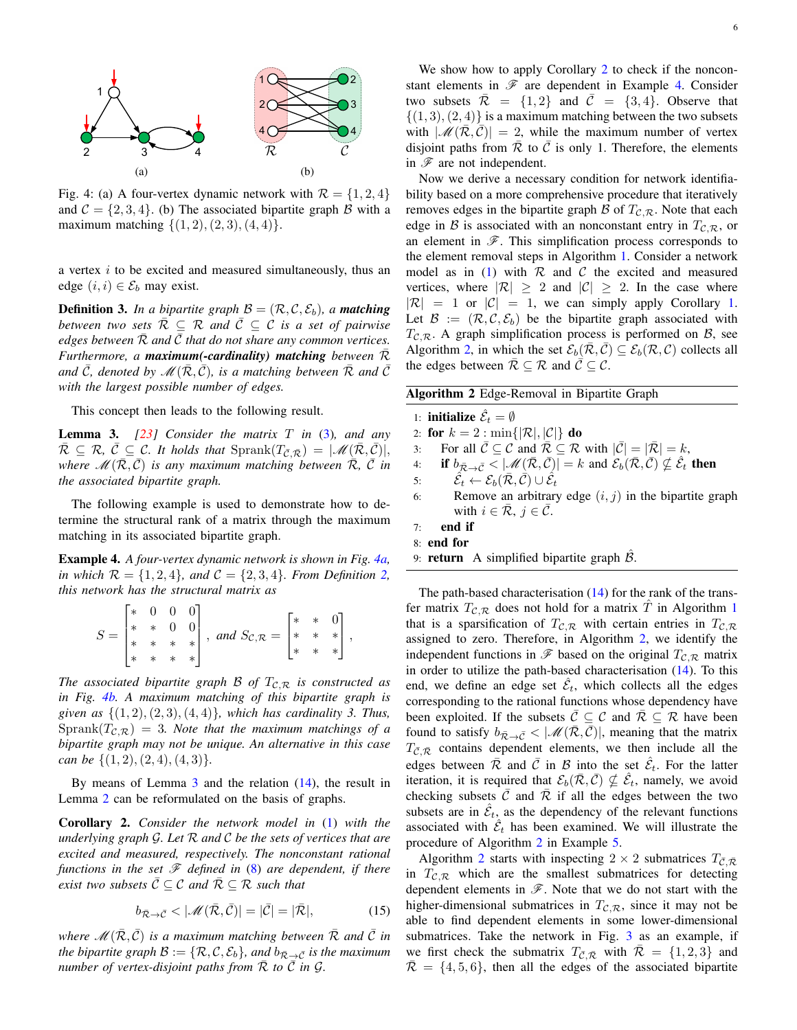<span id="page-5-0"></span>

Fig. 4: (a) A four-vertex dynamic network with  $\mathcal{R} = \{1, 2, 4\}$ and  $\mathcal{C} = \{2, 3, 4\}$ . (b) The associated bipartite graph  $\mathcal{B}$  with a maximum matching  $\{(1, 2), (2, 3), (4, 4)\}.$ 

a vertex  $i$  to be excited and measured simultaneously, thus an edge  $(i, i) \in \mathcal{E}_b$  may exist.

**Definition 3.** In a bipartite graph  $\mathcal{B} = (\mathcal{R}, \mathcal{C}, \mathcal{E}_b)$ , a **matching** *between two sets*  $\overline{R} \subseteq R$  and  $\overline{C} \subseteq C$  *is a set of pairwise edges between*  $\overline{R}$  *and*  $\overline{C}$  *that do not share any common vertices. Furthermore, a maximum(-cardinality) matching between* R¯ *and*  $\bar{C}$ *, denoted by*  $\mathcal{M}(\bar{\mathcal{R}}, \bar{C})$ *, is a matching between*  $\bar{\mathcal{R}}$  *and*  $\bar{C}$ *with the largest possible number of edges.*

This concept then leads to the following result.

<span id="page-5-1"></span>Lemma 3. *[\[23\]](#page-7-18) Consider the matrix* T *in* [\(3\)](#page-1-7)*, and any*  $\overline{\mathcal{R}} \subseteq \mathcal{R}, \overline{\mathcal{C}} \subseteq \mathcal{C}$ . It holds that  $\text{Sprank}(T_{\overline{\mathcal{C}}, \overline{\mathcal{R}}}) = |\mathscr{M}(\mathcal{R}, \mathcal{C})|,$ *where*  $\mathcal{M}(\overline{\mathcal{R}}, \overline{\mathcal{C}})$  *is any maximum matching between*  $\overline{\mathcal{R}}, \overline{\mathcal{C}}$  *in the associated bipartite graph.*

The following example is used to demonstrate how to determine the structural rank of a matrix through the maximum matching in its associated bipartite graph.

<span id="page-5-3"></span>Example 4. *A four-vertex dynamic network is shown in Fig. [4a,](#page-5-0) in which*  $\mathcal{R} = \{1, 2, 4\}$  $\mathcal{R} = \{1, 2, 4\}$  $\mathcal{R} = \{1, 2, 4\}$ *, and*  $\mathcal{C} = \{2, 3, 4\}$ *. From Definition 2, this network has the structural matrix as*

$$
S = \begin{bmatrix} * & 0 & 0 & 0 \\ * & * & 0 & 0 \\ * & * & * & * \\ * & * & * & * \end{bmatrix}, \text{ and } S_{\mathcal{C},\mathcal{R}} = \begin{bmatrix} * & * & 0 \\ * & * & * \\ * & * & * \end{bmatrix},
$$

*The associated bipartite graph B of*  $T_{\mathcal{C},\mathcal{R}}$  *is constructed as in Fig. [4b.](#page-5-0) A maximum matching of this bipartite graph is given as* {(1, 2),(2, 3),(4, 4)}*, which has cardinality 3. Thus,*  $Sprank(T_{\mathcal{C},\mathcal{R}}) = 3$ *. Note that the maximum matchings of a bipartite graph may not be unique. An alternative in this case can be*  $\{(1, 2), (2, 4), (4, 3)\}.$ 

By means of Lemma  $\overline{3}$  $\overline{3}$  $\overline{3}$  and the relation [\(14\)](#page-4-3), the result in Lemma [2](#page-3-7) can be reformulated on the basis of graphs.

<span id="page-5-2"></span>Corollary 2. *Consider the network model in* [\(1\)](#page-1-1) *with the underlying graph* G*. Let* R *and* C *be the sets of vertices that are excited and measured, respectively. The nonconstant rational functions in the set*  $\mathcal F$  *defined in* [\(8\)](#page-3-2) *are dependent, if there exist two subsets*  $\overline{C} \subseteq C$  *and*  $\overline{R} \subseteq R$  *such that* 

<span id="page-5-5"></span>
$$
b_{\bar{\mathcal{R}} \to \bar{\mathcal{C}}} < |\mathcal{M}(\bar{\mathcal{R}}, \bar{\mathcal{C}})| = |\bar{\mathcal{C}}| = |\bar{\mathcal{R}}|,\tag{15}
$$

*where*  $\mathcal{M}(\overline{\mathcal{R}}, \overline{\mathcal{C}})$  *is a maximum matching between*  $\overline{\mathcal{R}}$  *and*  $\overline{\mathcal{C}}$  *in the bipartite graph*  $\mathcal{B} := \{ \mathcal{R}, \mathcal{C}, \mathcal{E}_b \}$ *, and*  $b_{\overline{\mathcal{R}} \to \overline{\mathcal{C}}}$  *is the maximum number of vertex-disjoint paths from*  $\overline{R}$  *to*  $\overline{C}$  *in*  $\mathcal{G}$ *.* 

We show how to apply Corollary [2](#page-5-2) to check if the nonconstant elements in  $\mathscr F$  are dependent in Example [4.](#page-5-3) Consider two subsets  $\overline{\mathcal{R}} = \{1, 2\}$  and  $\overline{\mathcal{C}} = \{3, 4\}$ . Observe that  $\{(1, 3), (2, 4)\}\$ is a maximum matching between the two subsets with  $|\mathcal{M}(\mathcal{R}, C)| = 2$ , while the maximum number of vertex disjoint paths from  $\overline{\mathcal{R}}$  to  $\overline{\mathcal{C}}$  is only 1. Therefore, the elements in  $\mathscr F$  are not independent.

Now we derive a necessary condition for network identifiability based on a more comprehensive procedure that iteratively removes edges in the bipartite graph  $\beta$  of  $T_{\mathcal{C},\mathcal{R}}$ . Note that each edge in B is associated with an nonconstant entry in  $T_{\mathcal{C},\mathcal{R}}$ , or an element in  $\mathscr{F}$ . This simplification process corresponds to the element removal steps in Algorithm [1.](#page-3-5) Consider a network model as in [\(1\)](#page-1-1) with  $R$  and  $C$  the excited and measured vertices, where  $|\mathcal{R}| \geq 2$  and  $|\mathcal{C}| \geq 2$ . In the case where  $|\mathcal{R}| = 1$  or  $|\mathcal{C}| = 1$ , we can simply apply Corollary [1.](#page-4-4) Let  $\mathcal{B} := (\mathcal{R}, \mathcal{C}, \mathcal{E}_b)$  be the bipartite graph associated with  $T_{\mathcal{C},\mathcal{R}}$ . A graph simplification process is performed on  $\mathcal{B}$ , see Algorithm [2,](#page-5-4) in which the set  $\mathcal{E}_b(\overline{\mathcal{R}}, \overline{\mathcal{C}}) \subseteq \mathcal{E}_b(\mathcal{R}, \mathcal{C})$  collects all the edges between  $\overline{\mathcal{R}} \subseteq \mathcal{R}$  and  $\overline{\mathcal{C}} \subseteq \mathcal{C}$ .

| Algorithm 2 Edge-Removal in Bipartite Graph |                                                                                                                                                                                                               |
|---------------------------------------------|---------------------------------------------------------------------------------------------------------------------------------------------------------------------------------------------------------------|
|                                             | 1: <b>initialize</b> $\hat{\mathcal{E}}_t = \emptyset$                                                                                                                                                        |
|                                             | 2: for $k = 2$ : min{  $\mathcal{R}$  , $ \mathcal{C} $ } do                                                                                                                                                  |
| 3:                                          | For all $\overline{C} \subseteq C$ and $\overline{R} \subseteq \mathcal{R}$ with $ \overline{C}  =  \overline{R}  = k$ ,                                                                                      |
| 4:                                          | if $b_{\bar{\mathcal{R}} \to \bar{\mathcal{C}}}$ $\leq  \mathcal{M}(\bar{\mathcal{R}}, \bar{\mathcal{C}})  = k$ and $\mathcal{E}_b(\bar{\mathcal{R}}, \bar{\mathcal{C}}) \nsubseteq \hat{\mathcal{E}}_t$ then |
|                                             | $\hat{\mathcal{E}}_t \leftarrow \mathcal{E}_h(\bar{\mathcal{R}}, \bar{\mathcal{C}}) \cup \hat{\mathcal{E}}_t$<br>5:                                                                                           |
| 6:                                          | Remove an arbitrary edge $(i, j)$ in the bipartite graph                                                                                                                                                      |
|                                             | with $i \in \overline{\mathcal{R}}, j \in \overline{\mathcal{C}}.$                                                                                                                                            |
| $7\cdot$                                    | end if                                                                                                                                                                                                        |
|                                             | 8: end for                                                                                                                                                                                                    |
|                                             | 9: <b>return</b> A simplified bipartite graph $\beta$ .                                                                                                                                                       |

<span id="page-5-4"></span>The path-based characterisation  $(14)$  for the rank of the transfer matrix  $T_{\mathcal{C},\mathcal{R}}$  does not hold for a matrix T in Algorithm [1](#page-3-5) that is a sparsification of  $T_{\mathcal{C},\mathcal{R}}$  with certain entries in  $T_{\mathcal{C},\mathcal{R}}$ assigned to zero. Therefore, in Algorithm [2,](#page-5-4) we identify the independent functions in  $\mathscr F$  based on the original  $T_{\mathcal{C},\mathcal{R}}$  matrix in order to utilize the path-based characterisation [\(14\)](#page-4-3). To this end, we define an edge set  $\hat{\mathcal{E}}_t$ , which collects all the edges corresponding to the rational functions whose dependency have been exploited. If the subsets  $\overline{C} \subseteq C$  and  $\overline{R} \subseteq \mathcal{R}$  have been found to satisfy  $b_{\bar{\mathcal{R}} \to \bar{\mathcal{C}}} < |\mathcal{M}(\bar{\mathcal{R}}, \bar{\mathcal{C}})|$ , meaning that the matrix  $T_{\bar{\mathcal{C}}, \bar{\mathcal{R}}}$  contains dependent elements, we then include all the edges between  $\overline{\mathcal{R}}$  and  $\overline{\mathcal{C}}$  in  $\mathcal{B}$  into the set  $\hat{\mathcal{E}}_t$ . For the latter iteration, it is required that  $\mathcal{E}_b(\bar{\mathcal{R}}, \bar{\mathcal{C}}) \nsubseteq \hat{\mathcal{E}}_t$ , namely, we avoid checking subsets  $\overline{C}$  and  $\overline{R}$  if all the edges between the two subsets are in  $\hat{\mathcal{E}}_t$ , as the dependency of the relevant functions associated with  $\hat{\mathcal{E}}_t$  has been examined. We will illustrate the procedure of Algorithm [2](#page-5-4) in Example [5.](#page-6-0)

Algorithm [2](#page-5-4) starts with inspecting  $2 \times 2$  submatrices  $T_{\bar{C},\bar{R}}$ in  $T_{\mathcal{C},\mathcal{R}}$  which are the smallest submatrices for detecting dependent elements in  $\mathscr{F}$ . Note that we do not start with the higher-dimensional submatrices in  $T_{\mathcal{C},\mathcal{R}}$ , since it may not be able to find dependent elements in some lower-dimensional submatrices. Take the network in Fig. [3](#page-4-1) as an example, if we first check the submatrix  $T_{\bar{C}, \bar{R}}$  with  $\bar{\mathcal{R}} = \{1, 2, 3\}$  and  $\overline{\mathcal{R}} = \{4, 5, 6\}$ , then all the edges of the associated bipartite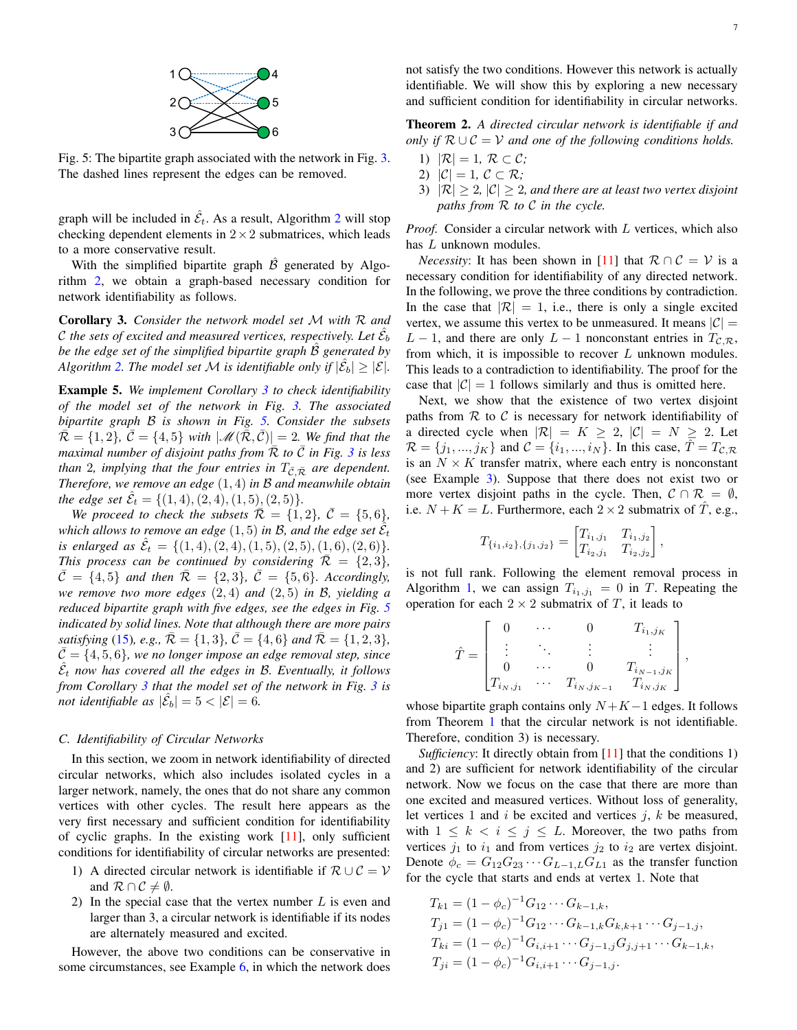

<span id="page-6-2"></span>Fig. 5: The bipartite graph associated with the network in Fig. [3.](#page-4-1) The dashed lines represent the edges can be removed.

graph will be included in  $\hat{\mathcal{E}}_t$ . As a result, Algorithm [2](#page-5-4) will stop checking dependent elements in  $2 \times 2$  submatrices, which leads to a more conservative result.

With the simplified bipartite graph  $\hat{\beta}$  generated by Algorithm [2,](#page-5-4) we obtain a graph-based necessary condition for network identifiability as follows.

<span id="page-6-1"></span>Corollary 3. *Consider the network model set* M *with* R *and* C the sets of excited and measured vertices, respectively. Let  $\hat{\mathcal{E}}_b$ *be the edge set of the simplified bipartite graph*  $\hat{\beta}$  *generated by Algorithm* [2.](#page-5-4) The model set M is identifiable only if  $|\hat{\mathcal{E}}_b| \geq |\mathcal{E}|$ .

<span id="page-6-0"></span>Example 5. *We implement Corollary [3](#page-6-1) to check identifiability of the model set of the network in Fig. [3.](#page-4-1) The associated bipartite graph* B *is shown in Fig. [5.](#page-6-2) Consider the subsets*  $\overline{\mathcal{R}} = \{1, 2\}, \overline{\mathcal{C}} = \{4, 5\}$  *with*  $|\mathscr{M}(\overline{\mathcal{R}}, \overline{\mathcal{C}})| = 2$ *. We find that the maximal number of disjoint paths from*  $\overline{R}$  *to*  $\overline{C}$  *in Fig.* [3](#page-4-1) *is less than* 2*, implying that the four entries in*  $T_{\bar{C}, \bar{R}}$  *are dependent. Therefore, we remove an edge* (1, 4) *in* B *and meanwhile obtain the edge set*  $\hat{\mathcal{E}}_t = \{(1, 4), (2, 4), (1, 5), (2, 5)\}.$ 

*We proceed to check the subsets*  $\overline{\mathcal{R}} = \{1, 2\}$ ,  $\overline{\mathcal{C}} = \{5, 6\}$ , which allows to remove an edge  $(1,5)$  in B, and the edge set  $\hat{\hat{\mathcal{E}}}_t$ *is enlarged as*  $\hat{\mathcal{E}}_t = \{(1,4), (2,4), (1,5), (2,5), (1,6), (2,6)\}.$ *This process can be continued by considering*  $\overline{\mathcal{R}} = \{2, 3\}$ *,*  $\bar{\mathcal{C}} = \{4, 5\}$  *and then*  $\bar{\mathcal{R}} = \{2, 3\}$ ,  $\bar{\mathcal{C}} = \{5, 6\}$ *. Accordingly, we remove two more edges* (2, 4) *and* (2, 5) *in* B*, yielding a reduced bipartite graph with five edges, see the edges in Fig. [5](#page-6-2) indicated by solid lines. Note that although there are more pairs satisfying* [\(15\)](#page-5-5)*, e.g.,*  $\overline{\mathcal{R}} = \{1,3\}$ ,  $\overline{\mathcal{C}} = \{4,6\}$  *and*  $\overline{\mathcal{R}} = \{1,2,3\}$ *,*  $\overline{C} = \{4, 5, 6\}$ , we no longer impose an edge removal step, since  $\hat{\mathcal{E}}_t$  now has covered all the edges in B. Eventually, it follows *from Corollary [3](#page-6-1) that the model set of the network in Fig. [3](#page-4-1) is not identifiable as*  $|\hat{\mathcal{E}}_b| = 5 < |\mathcal{E}| = 6$ .

# *C. Identifiability of Circular Networks*

In this section, we zoom in network identifiability of directed circular networks, which also includes isolated cycles in a larger network, namely, the ones that do not share any common vertices with other cycles. The result here appears as the very first necessary and sufficient condition for identifiability of cyclic graphs. In the existing work  $[11]$ , only sufficient conditions for identifiability of circular networks are presented:

- 1) A directed circular network is identifiable if  $\mathcal{R} \cup \mathcal{C} = \mathcal{V}$ and  $\mathcal{R} \cap \mathcal{C} \neq \emptyset$ .
- 2) In the special case that the vertex number  $L$  is even and larger than 3, a circular network is identifiable if its nodes are alternately measured and excited.

However, the above two conditions can be conservative in some circumstances, see Example [6,](#page-7-19) in which the network does <span id="page-6-3"></span>Theorem 2. *A directed circular network is identifiable if and only if*  $\mathcal{R} \cup \mathcal{C} = \mathcal{V}$  and one of the following conditions holds.

- 1)  $|\mathcal{R}| = 1, \mathcal{R} \subset \mathcal{C}$ ;
- 2)  $|\mathcal{C}| = 1, \mathcal{C} \subset \mathcal{R}$ ;
- 3)  $|\mathcal{R}| \geq 2$ ,  $|\mathcal{C}| \geq 2$ , and there are at least two vertex disjoint *paths from* R *to* C *in the cycle.*

*Proof.* Consider a circular network with L vertices, which also has L unknown modules.

*Necessity*: It has been shown in [\[11\]](#page-7-11) that  $\mathcal{R} \cap \mathcal{C} = \mathcal{V}$  is a necessary condition for identifiability of any directed network. In the following, we prove the three conditions by contradiction. In the case that  $|\mathcal{R}| = 1$ , i.e., there is only a single excited vertex, we assume this vertex to be unmeasured. It means  $|\mathcal{C}| =$  $L - 1$ , and there are only  $L - 1$  nonconstant entries in  $T_{\mathcal{C}, \mathcal{R}}$ , from which, it is impossible to recover  $L$  unknown modules. This leads to a contradiction to identifiability. The proof for the case that  $|C| = 1$  follows similarly and thus is omitted here.

Next, we show that the existence of two vertex disjoint paths from  $R$  to  $C$  is necessary for network identifiability of a directed cycle when  $|\mathcal{R}| = K \geq 2$ ,  $|\mathcal{C}| = N \geq 2$ . Let  $\mathcal{R} = \{j_1, ..., j_K\}$  and  $\mathcal{C} = \{i_1, ..., i_N\}$ . In this case,  $\hat{T} = T_{\mathcal{C}, \mathcal{R}}$ is an  $N \times K$  transfer matrix, where each entry is nonconstant (see Example [3\)](#page-4-5). Suppose that there does not exist two or more vertex disjoint paths in the cycle. Then,  $C \cap \mathcal{R} = \emptyset$ , i.e.  $N + K = L$ . Furthermore, each  $2 \times 2$  submatrix of T, e.g.,

$$
T_{\{i_1,i_2\},\{j_1,j_2\}} = \begin{bmatrix} T_{i_1,j_1} & T_{i_1,j_2} \\ T_{i_2,j_1} & T_{i_2,j_2} \end{bmatrix}
$$

,

is not full rank. Following the element removal process in Algorithm [1,](#page-3-5) we can assign  $T_{i_1,j_1} = 0$  in T. Repeating the operation for each  $2 \times 2$  submatrix of T, it leads to

$$
\hat{T} = \begin{bmatrix} 0 & \cdots & 0 & T_{i_1,j_K} \\ \vdots & \ddots & \vdots & \vdots \\ 0 & \cdots & 0 & T_{i_{N-1},j_K} \\ T_{i_N,j_1} & \cdots & T_{i_N,j_{K-1}} & T_{i_N,j_K} \end{bmatrix},
$$

whose bipartite graph contains only  $N + K - 1$  edges. It follows from Theorem [1](#page-4-0) that the circular network is not identifiable. Therefore, condition 3) is necessary.

*Sufficiency*: It directly obtain from [\[11\]](#page-7-11) that the conditions 1) and 2) are sufficient for network identifiability of the circular network. Now we focus on the case that there are more than one excited and measured vertices. Without loss of generality, let vertices 1 and  $i$  be excited and vertices  $j$ ,  $k$  be measured, with  $1 \leq k \leq i \leq j \leq L$ . Moreover, the two paths from vertices  $j_1$  to  $i_1$  and from vertices  $j_2$  to  $i_2$  are vertex disjoint. Denote  $\phi_c = G_{12}G_{23} \cdots G_{L-1,L}G_{L1}$  as the transfer function for the cycle that starts and ends at vertex 1. Note that

$$
T_{k1} = (1 - \phi_c)^{-1} G_{12} \cdots G_{k-1,k},
$$
  
\n
$$
T_{j1} = (1 - \phi_c)^{-1} G_{12} \cdots G_{k-1,k} G_{k,k+1} \cdots G_{j-1,j},
$$
  
\n
$$
T_{ki} = (1 - \phi_c)^{-1} G_{i,i+1} \cdots G_{j-1,j} G_{j,j+1} \cdots G_{k-1,k},
$$
  
\n
$$
T_{ji} = (1 - \phi_c)^{-1} G_{i,i+1} \cdots G_{j-1,j}.
$$